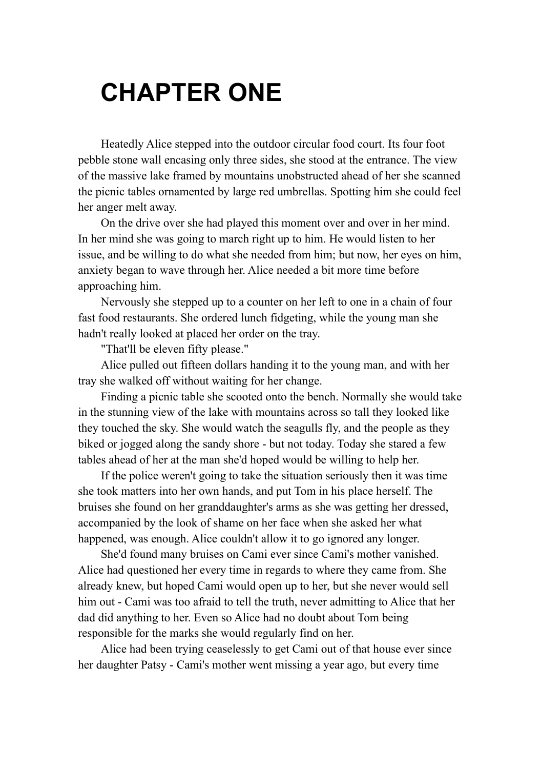## **CHAPTER ONE**

Heatedly Alice stepped into the outdoor circular food court. Its four foot pebble stone wall encasing only three sides, she stood at the entrance. The view of the massive lake framed by mountains unobstructed ahead of her she scanned the picnic tables ornamented by large red umbrellas. Spotting him she could feel her anger melt away.

On the drive over she had played this moment over and over in her mind. In her mind she was going to march right up to him. He would listen to her issue, and be willing to do what she needed from him; but now, her eyes on him, anxiety began to wave through her. Alice needed a bit more time before approaching him.

Nervously she stepped up to a counter on her left to one in a chain of four fast food restaurants. She ordered lunch fidgeting, while the young man she hadn't really looked at placed her order on the tray.

"That'll be eleven fifty please."

Alice pulled out fifteen dollars handing it to the young man, and with her tray she walked off without waiting for her change.

Finding a picnic table she scooted onto the bench. Normally she would take in the stunning view of the lake with mountains across so tall they looked like they touched the sky. She would watch the seagulls fly, and the people as they biked or jogged along the sandy shore - but not today. Today she stared a few tables ahead of her at the man she'd hoped would be willing to help her.

If the police weren't going to take the situation seriously then it was time she took matters into her own hands, and put Tom in his place herself. The bruises she found on her granddaughter's arms as she was getting her dressed, accompanied by the look of shame on her face when she asked her what happened, was enough. Alice couldn't allow it to go ignored any longer.

She'd found many bruises on Cami ever since Cami's mother vanished. Alice had questioned her every time in regards to where they came from. She already knew, but hoped Cami would open up to her, but she never would sell him out - Cami was too afraid to tell the truth, never admitting to Alice that her dad did anything to her. Even so Alice had no doubt about Tom being responsible for the marks she would regularly find on her.

Alice had been trying ceaselessly to get Cami out of that house ever since her daughter Patsy - Cami's mother went missing a year ago, but every time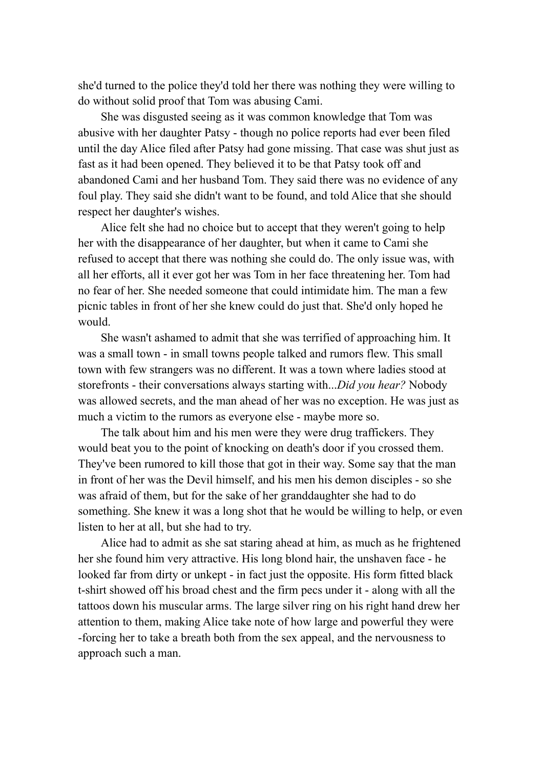she'd turned to the police they'd told her there was nothing they were willing to do without solid proof that Tom was abusing Cami.

She was disgusted seeing as it was common knowledge that Tom was abusive with her daughter Patsy - though no police reports had ever been filed until the day Alice filed after Patsy had gone missing. That case was shut just as fast as it had been opened. They believed it to be that Patsy took off and abandoned Cami and her husband Tom. They said there was no evidence of any foul play. They said she didn't want to be found, and told Alice that she should respect her daughter's wishes.

Alice felt she had no choice but to accept that they weren't going to help her with the disappearance of her daughter, but when it came to Cami she refused to accept that there was nothing she could do. The only issue was, with all her efforts, all it ever got her was Tom in her face threatening her. Tom had no fear of her. She needed someone that could intimidate him. The man a few picnic tables in front of her she knew could do just that. She'd only hoped he would.

She wasn't ashamed to admit that she was terrified of approaching him. It was a small town - in small towns people talked and rumors flew. This small town with few strangers was no different. It was a town where ladies stood at storefronts - their conversations always starting with...*Did you hear?* Nobody was allowed secrets, and the man ahead of her was no exception. He was just as much a victim to the rumors as everyone else - maybe more so.

The talk about him and his men were they were drug traffickers. They would beat you to the point of knocking on death's door if you crossed them. They've been rumored to kill those that got in their way. Some say that the man in front of her was the Devil himself, and his men his demon disciples - so she was afraid of them, but for the sake of her granddaughter she had to do something. She knew it was a long shot that he would be willing to help, or even listen to her at all, but she had to try.

Alice had to admit as she sat staring ahead at him, as much as he frightened her she found him very attractive. His long blond hair, the unshaven face - he looked far from dirty or unkept - in fact just the opposite. His form fitted black t-shirt showed off his broad chest and the firm pecs under it - along with all the tattoos down his muscular arms. The large silver ring on his right hand drew her attention to them, making Alice take note of how large and powerful they were -forcing her to take a breath both from the sex appeal, and the nervousness to approach such a man.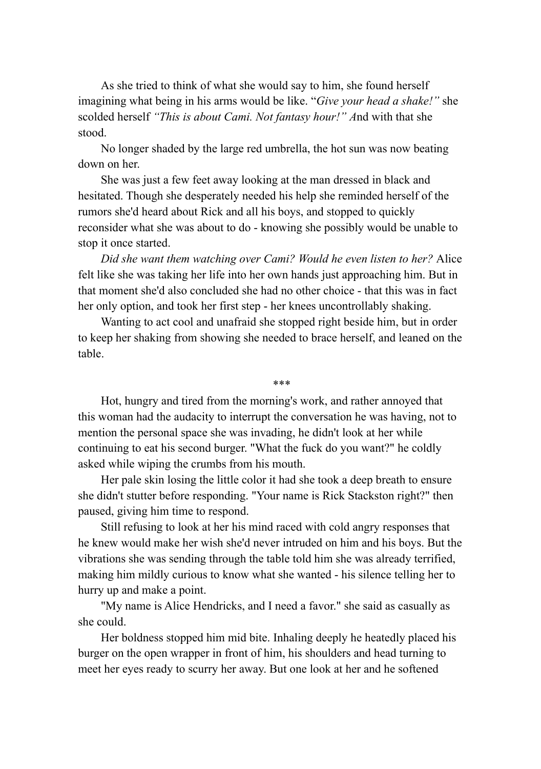As she tried to think of what she would say to him, she found herself imagining what being in his arms would be like. "*Give your head a shake!"* she scolded herself *"This is about Cami. Not fantasy hour!" A*nd with that she stood.

No longer shaded by the large red umbrella, the hot sun was now beating down on her.

She was just a few feet away looking at the man dressed in black and hesitated. Though she desperately needed his help she reminded herself of the rumors she'd heard about Rick and all his boys, and stopped to quickly reconsider what she was about to do - knowing she possibly would be unable to stop it once started.

*Did she want them watching over Cami? Would he even listen to her?* Alice felt like she was taking her life into her own hands just approaching him. But in that moment she'd also concluded she had no other choice - that this was in fact her only option, and took her first step - her knees uncontrollably shaking.

Wanting to act cool and unafraid she stopped right beside him, but in order to keep her shaking from showing she needed to brace herself, and leaned on the table.

\*\*\*

Hot, hungry and tired from the morning's work, and rather annoyed that this woman had the audacity to interrupt the conversation he was having, not to mention the personal space she was invading, he didn't look at her while continuing to eat his second burger. "What the fuck do you want?" he coldly asked while wiping the crumbs from his mouth.

Her pale skin losing the little color it had she took a deep breath to ensure she didn't stutter before responding. "Your name is Rick Stackston right?" then paused, giving him time to respond.

Still refusing to look at her his mind raced with cold angry responses that he knew would make her wish she'd never intruded on him and his boys. But the vibrations she was sending through the table told him she was already terrified, making him mildly curious to know what she wanted - his silence telling her to hurry up and make a point.

"My name is Alice Hendricks, and I need a favor." she said as casually as she could.

Her boldness stopped him mid bite. Inhaling deeply he heatedly placed his burger on the open wrapper in front of him, his shoulders and head turning to meet her eyes ready to scurry her away. But one look at her and he softened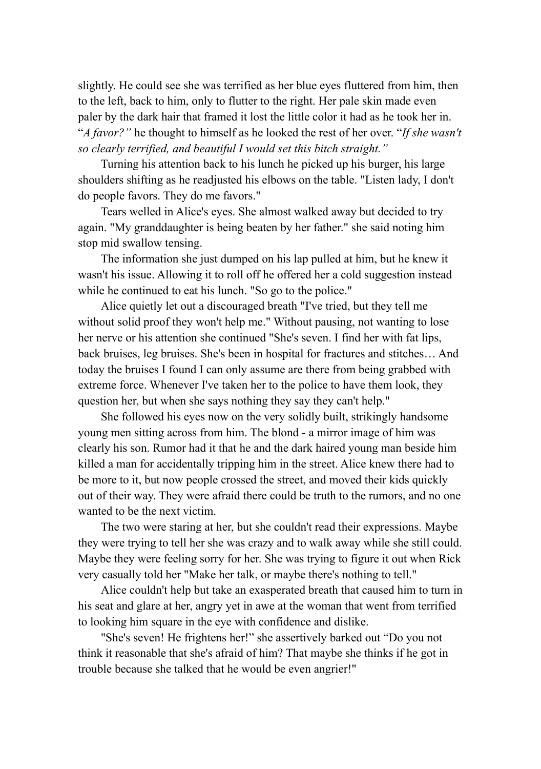slightly. He could see she was terrified as her blue eyes fluttered from him, then to the left, back to him, only to flutter to the right. Her pale skin made even paler by the dark hair that framed it lost the little color it had as he took her in. "*A favor?"* he thought to himself as he looked the rest of her over. "*If she wasn't so clearly terrified, and beautiful I would set this bitch straight."*

Turning his attention back to his lunch he picked up his burger, his large shoulders shifting as he readjusted his elbows on the table. "Listen lady, I don't do people favors. They do me favors."

Tears welled in Alice's eyes. She almost walked away but decided to try again. "My granddaughter is being beaten by her father." she said noting him stop mid swallow tensing.

The information she just dumped on his lap pulled at him, but he knew it wasn't his issue. Allowing it to roll off he offered her a cold suggestion instead while he continued to eat his lunch. "So go to the police."

Alice quietly let out a discouraged breath "I've tried, but they tell me without solid proof they won't help me." Without pausing, not wanting to lose her nerve or his attention she continued "She's seven. I find her with fat lips, back bruises, leg bruises. She's been in hospital for fractures and stitches… And today the bruises I found I can only assume are there from being grabbed with extreme force. Whenever I've taken her to the police to have them look, they question her, but when she says nothing they say they can't help."

She followed his eyes now on the very solidly built, strikingly handsome young men sitting across from him. The blond - a mirror image of him was clearly his son. Rumor had it that he and the dark haired young man beside him killed a man for accidentally tripping him in the street. Alice knew there had to be more to it, but now people crossed the street, and moved their kids quickly out of their way. They were afraid there could be truth to the rumors, and no one wanted to be the next victim.

The two were staring at her, but she couldn't read their expressions. Maybe they were trying to tell her she was crazy and to walk away while she still could. Maybe they were feeling sorry for her. She was trying to figure it out when Rick very casually told her "Make her talk, or maybe there's nothing to tell."

Alice couldn't help but take an exasperated breath that caused him to turn in his seat and glare at her, angry yet in awe at the woman that went from terrified to looking him square in the eye with confidence and dislike.

"She's seven! He frightens her!" she assertively barked out "Do you not think it reasonable that she's afraid of him? That maybe she thinks if he got in trouble because she talked that he would be even angrier!"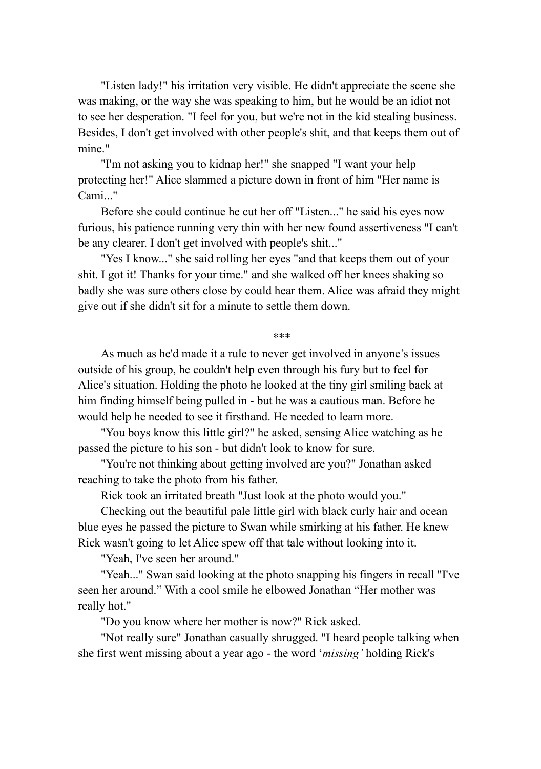"Listen lady!" his irritation very visible. He didn't appreciate the scene she was making, or the way she was speaking to him, but he would be an idiot not to see her desperation. "I feel for you, but we're not in the kid stealing business. Besides, I don't get involved with other people's shit, and that keeps them out of mine."

"I'm not asking you to kidnap her!" she snapped "I want your help protecting her!" Alice slammed a picture down in front of him "Her name is Cami<sup>"</sup>

Before she could continue he cut her off "Listen..." he said his eyes now furious, his patience running very thin with her new found assertiveness "I can't be any clearer. I don't get involved with people's shit..."

"Yes I know..." she said rolling her eyes "and that keeps them out of your shit. I got it! Thanks for your time." and she walked off her knees shaking so badly she was sure others close by could hear them. Alice was afraid they might give out if she didn't sit for a minute to settle them down.

\*\*\*

As much as he'd made it a rule to never get involved in anyone's issues outside of his group, he couldn't help even through his fury but to feel for Alice's situation. Holding the photo he looked at the tiny girl smiling back at him finding himself being pulled in - but he was a cautious man. Before he would help he needed to see it firsthand. He needed to learn more.

"You boys know this little girl?" he asked, sensing Alice watching as he passed the picture to his son - but didn't look to know for sure.

"You're not thinking about getting involved are you?" Jonathan asked reaching to take the photo from his father.

Rick took an irritated breath "Just look at the photo would you."

Checking out the beautiful pale little girl with black curly hair and ocean blue eyes he passed the picture to Swan while smirking at his father. He knew Rick wasn't going to let Alice spew off that tale without looking into it.

"Yeah, I've seen her around."

"Yeah..." Swan said looking at the photo snapping his fingers in recall "I've seen her around." With a cool smile he elbowed Jonathan "Her mother was really hot."

"Do you know where her mother is now?" Rick asked.

"Not really sure" Jonathan casually shrugged. "I heard people talking when she first went missing about a year ago - the word '*missing'* holding Rick's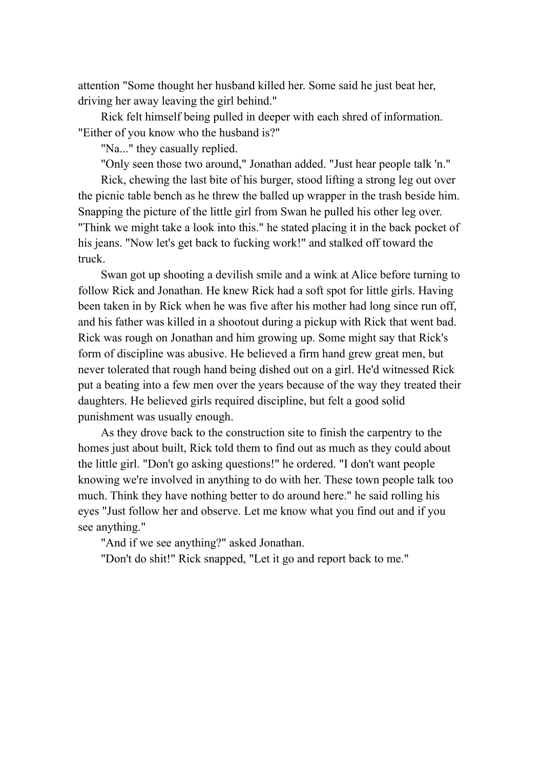attention "Some thought her husband killed her. Some said he just beat her, driving her away leaving the girl behind."

Rick felt himself being pulled in deeper with each shred of information. "Either of you know who the husband is?"

"Na..." they casually replied.

"Only seen those two around," Jonathan added. "Just hear people talk 'n."

Rick, chewing the last bite of his burger, stood lifting a strong leg out over the picnic table bench as he threw the balled up wrapper in the trash beside him. Snapping the picture of the little girl from Swan he pulled his other leg over. "Think we might take a look into this." he stated placing it in the back pocket of his jeans. "Now let's get back to fucking work!" and stalked off toward the truck.

Swan got up shooting a devilish smile and a wink at Alice before turning to follow Rick and Jonathan. He knew Rick had a soft spot for little girls. Having been taken in by Rick when he was five after his mother had long since run off, and his father was killed in a shootout during a pickup with Rick that went bad. Rick was rough on Jonathan and him growing up. Some might say that Rick's form of discipline was abusive. He believed a firm hand grew great men, but never tolerated that rough hand being dished out on a girl. He'd witnessed Rick put a beating into a few men over the years because of the way they treated their daughters. He believed girls required discipline, but felt a good solid punishment was usually enough.

As they drove back to the construction site to finish the carpentry to the homes just about built, Rick told them to find out as much as they could about the little girl. "Don't go asking questions!" he ordered. "I don't want people knowing we're involved in anything to do with her. These town people talk too much. Think they have nothing better to do around here." he said rolling his eyes "Just follow her and observe. Let me know what you find out and if you see anything."

"And if we see anything?" asked Jonathan.

"Don't do shit!" Rick snapped, "Let it go and report back to me."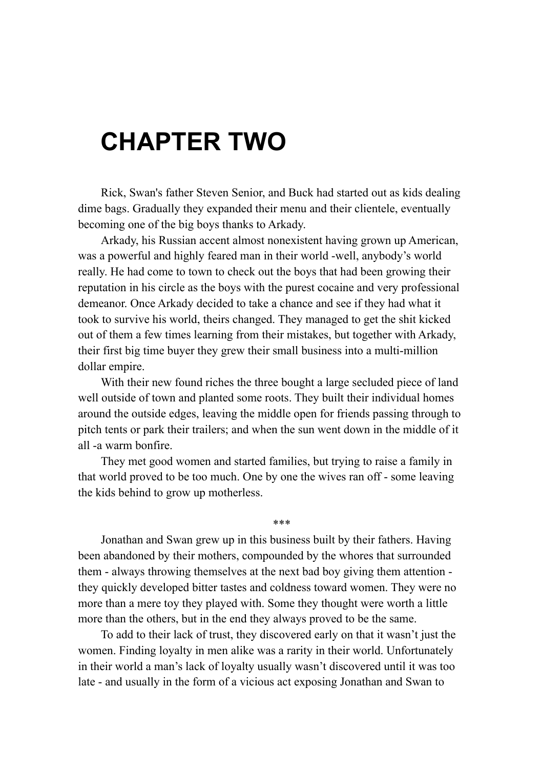## **CHAPTER TWO**

Rick, Swan's father Steven Senior, and Buck had started out as kids dealing dime bags. Gradually they expanded their menu and their clientele, eventually becoming one of the big boys thanks to Arkady.

Arkady, his Russian accent almost nonexistent having grown up American, was a powerful and highly feared man in their world -well, anybody's world really. He had come to town to check out the boys that had been growing their reputation in his circle as the boys with the purest cocaine and very professional demeanor. Once Arkady decided to take a chance and see if they had what it took to survive his world, theirs changed. They managed to get the shit kicked out of them a few times learning from their mistakes, but together with Arkady, their first big time buyer they grew their small business into a multi-million dollar empire.

With their new found riches the three bought a large secluded piece of land well outside of town and planted some roots. They built their individual homes around the outside edges, leaving the middle open for friends passing through to pitch tents or park their trailers; and when the sun went down in the middle of it all -a warm bonfire.

They met good women and started families, but trying to raise a family in that world proved to be too much. One by one the wives ran off - some leaving the kids behind to grow up motherless.

\*\*\*

Jonathan and Swan grew up in this business built by their fathers. Having been abandoned by their mothers, compounded by the whores that surrounded them - always throwing themselves at the next bad boy giving them attention they quickly developed bitter tastes and coldness toward women. They were no more than a mere toy they played with. Some they thought were worth a little more than the others, but in the end they always proved to be the same.

To add to their lack of trust, they discovered early on that it wasn't just the women. Finding loyalty in men alike was a rarity in their world. Unfortunately in their world a man's lack of loyalty usually wasn't discovered until it was too late - and usually in the form of a vicious act exposing Jonathan and Swan to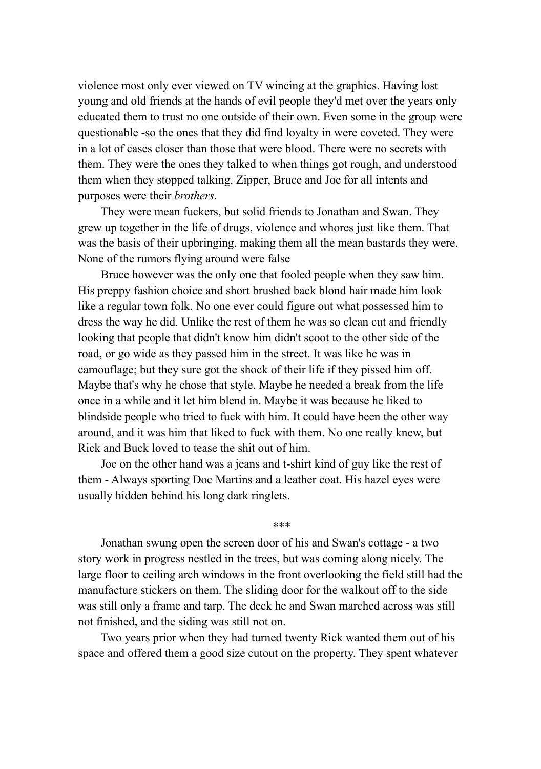violence most only ever viewed on TV wincing at the graphics. Having lost young and old friends at the hands of evil people they'd met over the years only educated them to trust no one outside of their own. Even some in the group were questionable -so the ones that they did find loyalty in were coveted. They were in a lot of cases closer than those that were blood. There were no secrets with them. They were the ones they talked to when things got rough, and understood them when they stopped talking. Zipper, Bruce and Joe for all intents and purposes were their *brothers*.

They were mean fuckers, but solid friends to Jonathan and Swan. They grew up together in the life of drugs, violence and whores just like them. That was the basis of their upbringing, making them all the mean bastards they were. None of the rumors flying around were false

Bruce however was the only one that fooled people when they saw him. His preppy fashion choice and short brushed back blond hair made him look like a regular town folk. No one ever could figure out what possessed him to dress the way he did. Unlike the rest of them he was so clean cut and friendly looking that people that didn't know him didn't scoot to the other side of the road, or go wide as they passed him in the street. It was like he was in camouflage; but they sure got the shock of their life if they pissed him off. Maybe that's why he chose that style. Maybe he needed a break from the life once in a while and it let him blend in. Maybe it was because he liked to blindside people who tried to fuck with him. It could have been the other way around, and it was him that liked to fuck with them. No one really knew, but Rick and Buck loved to tease the shit out of him.

Joe on the other hand was a jeans and t-shirt kind of guy like the rest of them - Always sporting Doc Martins and a leather coat. His hazel eyes were usually hidden behind his long dark ringlets.

Jonathan swung open the screen door of his and Swan's cottage - a two story work in progress nestled in the trees, but was coming along nicely. The large floor to ceiling arch windows in the front overlooking the field still had the manufacture stickers on them. The sliding door for the walkout off to the side was still only a frame and tarp. The deck he and Swan marched across was still not finished, and the siding was still not on.

\*\*\*

Two years prior when they had turned twenty Rick wanted them out of his space and offered them a good size cutout on the property. They spent whatever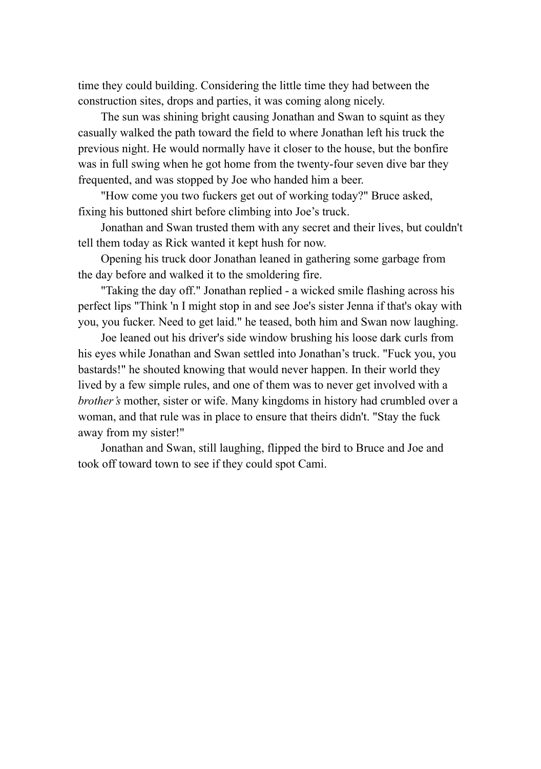time they could building. Considering the little time they had between the construction sites, drops and parties, it was coming along nicely.

The sun was shining bright causing Jonathan and Swan to squint as they casually walked the path toward the field to where Jonathan left his truck the previous night. He would normally have it closer to the house, but the bonfire was in full swing when he got home from the twenty-four seven dive bar they frequented, and was stopped by Joe who handed him a beer.

"How come you two fuckers get out of working today?" Bruce asked, fixing his buttoned shirt before climbing into Joe's truck.

Jonathan and Swan trusted them with any secret and their lives, but couldn't tell them today as Rick wanted it kept hush for now.

Opening his truck door Jonathan leaned in gathering some garbage from the day before and walked it to the smoldering fire.

"Taking the day off." Jonathan replied - a wicked smile flashing across his perfect lips "Think 'n I might stop in and see Joe's sister Jenna if that's okay with you, you fucker. Need to get laid." he teased, both him and Swan now laughing.

Joe leaned out his driver's side window brushing his loose dark curls from his eyes while Jonathan and Swan settled into Jonathan's truck. "Fuck you, you bastards!" he shouted knowing that would never happen. In their world they lived by a few simple rules, and one of them was to never get involved with a *brother's* mother, sister or wife. Many kingdoms in history had crumbled over a woman, and that rule was in place to ensure that theirs didn't. "Stay the fuck away from my sister!"

Jonathan and Swan, still laughing, flipped the bird to Bruce and Joe and took off toward town to see if they could spot Cami.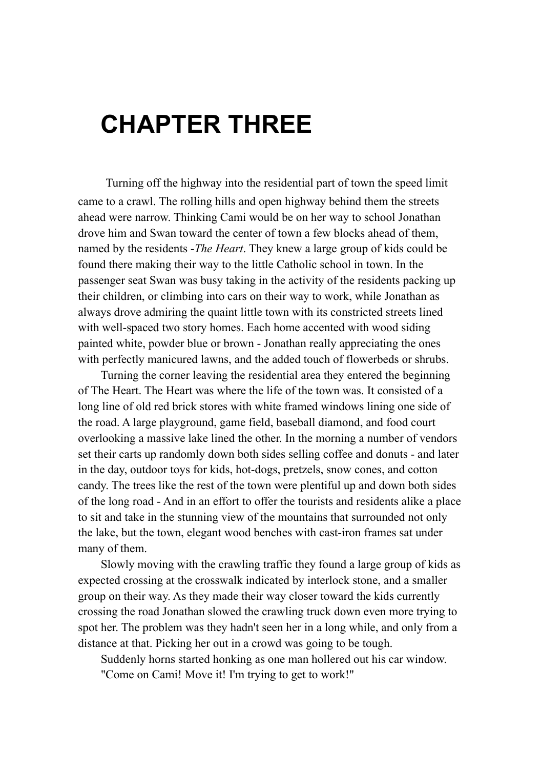## **CHAPTER THREE**

Turning off the highway into the residential part of town the speed limit came to a crawl. The rolling hills and open highway behind them the streets ahead were narrow. Thinking Cami would be on her way to school Jonathan drove him and Swan toward the center of town a few blocks ahead of them, named by the residents -*The Heart*. They knew a large group of kids could be found there making their way to the little Catholic school in town. In the passenger seat Swan was busy taking in the activity of the residents packing up their children, or climbing into cars on their way to work, while Jonathan as always drove admiring the quaint little town with its constricted streets lined with well-spaced two story homes. Each home accented with wood siding painted white, powder blue or brown - Jonathan really appreciating the ones with perfectly manicured lawns, and the added touch of flowerbeds or shrubs.

Turning the corner leaving the residential area they entered the beginning of The Heart. The Heart was where the life of the town was. It consisted of a long line of old red brick stores with white framed windows lining one side of the road. A large playground, game field, baseball diamond, and food court overlooking a massive lake lined the other. In the morning a number of vendors set their carts up randomly down both sides selling coffee and donuts - and later in the day, outdoor toys for kids, hot-dogs, pretzels, snow cones, and cotton candy. The trees like the rest of the town were plentiful up and down both sides of the long road - And in an effort to offer the tourists and residents alike a place to sit and take in the stunning view of the mountains that surrounded not only the lake, but the town, elegant wood benches with cast-iron frames sat under many of them.

Slowly moving with the crawling traffic they found a large group of kids as expected crossing at the crosswalk indicated by interlock stone, and a smaller group on their way. As they made their way closer toward the kids currently crossing the road Jonathan slowed the crawling truck down even more trying to spot her. The problem was they hadn't seen her in a long while, and only from a distance at that. Picking her out in a crowd was going to be tough.

Suddenly horns started honking as one man hollered out his car window. "Come on Cami! Move it! I'm trying to get to work!"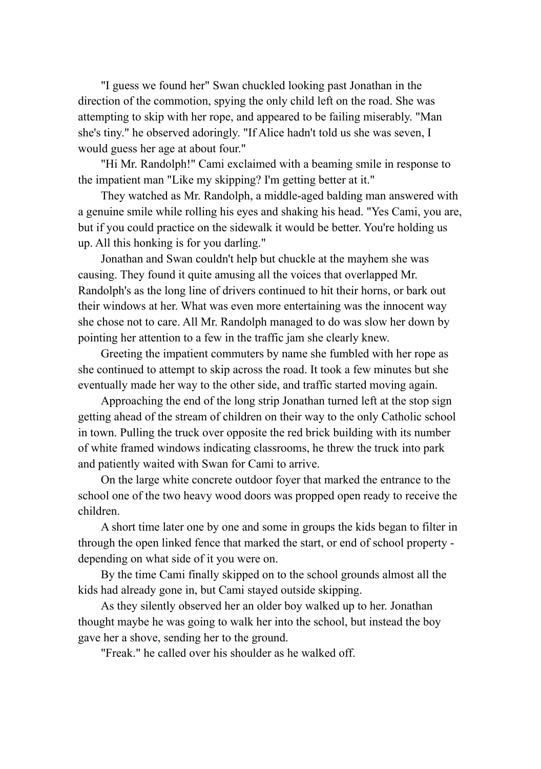"I guess we found her" Swan chuckled looking past Jonathan in the direction of the commotion, spying the only child left on the road. She was attempting to skip with her rope, and appeared to be failing miserably. "Man she's tiny." he observed adoringly. "If Alice hadn't told us she was seven, I would guess her age at about four."

"Hi Mr. Randolph!" Cami exclaimed with a beaming smile in response to the impatient man "Like my skipping? I'm getting better at it."

They watched as Mr. Randolph, a middle-aged balding man answered with a genuine smile while rolling his eyes and shaking his head. "Yes Cami, you are, but if you could practice on the sidewalk it would be better. You're holding us up. All this honking is for you darling."

Jonathan and Swan couldn't help but chuckle at the mayhem she was causing. They found it quite amusing all the voices that overlapped Mr. Randolph's as the long line of drivers continued to hit their horns, or bark out their windows at her. What was even more entertaining was the innocent way she chose not to care. All Mr. Randolph managed to do was slow her down by pointing her attention to a few in the traffic jam she clearly knew.

Greeting the impatient commuters by name she fumbled with her rope as she continued to attempt to skip across the road. It took a few minutes but she eventually made her way to the other side, and traffic started moving again.

Approaching the end of the long strip Jonathan turned left at the stop sign getting ahead of the stream of children on their way to the only Catholic school in town. Pulling the truck over opposite the red brick building with its number of white framed windows indicating classrooms, he threw the truck into park and patiently waited with Swan for Cami to arrive.

On the large white concrete outdoor foyer that marked the entrance to the school one of the two heavy wood doors was propped open ready to receive the children.

A short time later one by one and some in groups the kids began to filter in through the open linked fence that marked the start, or end of school property depending on what side of it you were on.

By the time Cami finally skipped on to the school grounds almost all the kids had already gone in, but Cami stayed outside skipping.

As they silently observed her an older boy walked up to her. Jonathan thought maybe he was going to walk her into the school, but instead the boy gave her a shove, sending her to the ground.

"Freak." he called over his shoulder as he walked off.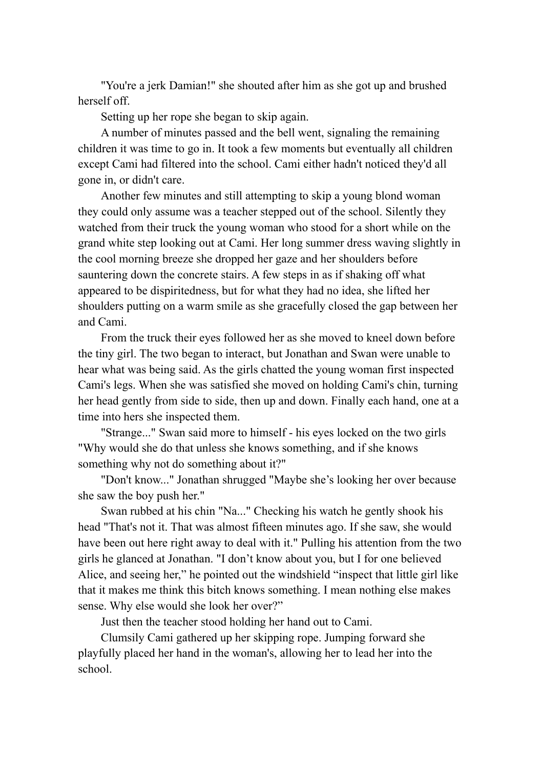"You're a jerk Damian!" she shouted after him as she got up and brushed herself off.

Setting up her rope she began to skip again.

A number of minutes passed and the bell went, signaling the remaining children it was time to go in. It took a few moments but eventually all children except Cami had filtered into the school. Cami either hadn't noticed they'd all gone in, or didn't care.

Another few minutes and still attempting to skip a young blond woman they could only assume was a teacher stepped out of the school. Silently they watched from their truck the young woman who stood for a short while on the grand white step looking out at Cami. Her long summer dress waving slightly in the cool morning breeze she dropped her gaze and her shoulders before sauntering down the concrete stairs. A few steps in as if shaking off what appeared to be dispiritedness, but for what they had no idea, she lifted her shoulders putting on a warm smile as she gracefully closed the gap between her and Cami.

From the truck their eyes followed her as she moved to kneel down before the tiny girl. The two began to interact, but Jonathan and Swan were unable to hear what was being said. As the girls chatted the young woman first inspected Cami's legs. When she was satisfied she moved on holding Cami's chin, turning her head gently from side to side, then up and down. Finally each hand, one at a time into hers she inspected them.

"Strange..." Swan said more to himself - his eyes locked on the two girls "Why would she do that unless she knows something, and if she knows something why not do something about it?"

"Don't know..." Jonathan shrugged "Maybe she's looking her over because she saw the boy push her."

Swan rubbed at his chin "Na..." Checking his watch he gently shook his head "That's not it. That was almost fifteen minutes ago. If she saw, she would have been out here right away to deal with it." Pulling his attention from the two girls he glanced at Jonathan. "I don't know about you, but I for one believed Alice, and seeing her," he pointed out the windshield "inspect that little girl like that it makes me think this bitch knows something. I mean nothing else makes sense. Why else would she look her over?"

Just then the teacher stood holding her hand out to Cami.

Clumsily Cami gathered up her skipping rope. Jumping forward she playfully placed her hand in the woman's, allowing her to lead her into the school.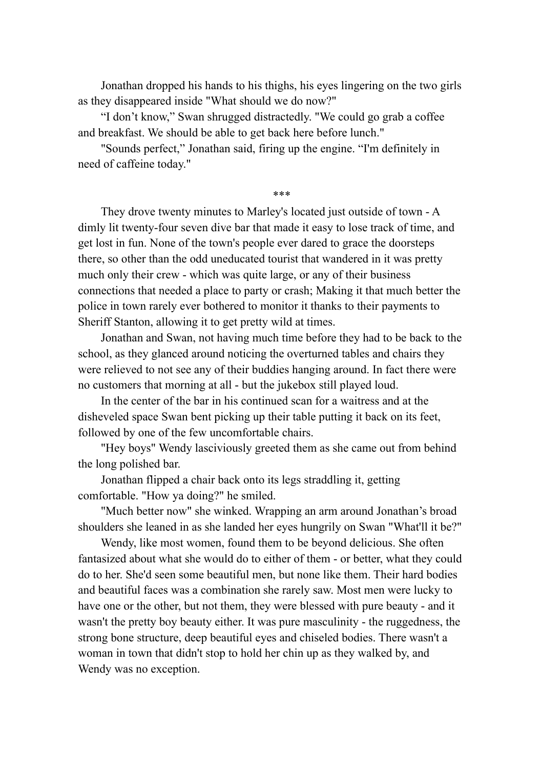Jonathan dropped his hands to his thighs, his eyes lingering on the two girls as they disappeared inside "What should we do now?"

"I don't know," Swan shrugged distractedly. "We could go grab a coffee and breakfast. We should be able to get back here before lunch."

"Sounds perfect," Jonathan said, firing up the engine. "I'm definitely in need of caffeine today."

\*\*\*

They drove twenty minutes to Marley's located just outside of town - A dimly lit twenty-four seven dive bar that made it easy to lose track of time, and get lost in fun. None of the town's people ever dared to grace the doorsteps there, so other than the odd uneducated tourist that wandered in it was pretty much only their crew - which was quite large, or any of their business connections that needed a place to party or crash; Making it that much better the police in town rarely ever bothered to monitor it thanks to their payments to Sheriff Stanton, allowing it to get pretty wild at times.

Jonathan and Swan, not having much time before they had to be back to the school, as they glanced around noticing the overturned tables and chairs they were relieved to not see any of their buddies hanging around. In fact there were no customers that morning at all - but the jukebox still played loud.

In the center of the bar in his continued scan for a waitress and at the disheveled space Swan bent picking up their table putting it back on its feet, followed by one of the few uncomfortable chairs.

"Hey boys" Wendy lasciviously greeted them as she came out from behind the long polished bar.

Jonathan flipped a chair back onto its legs straddling it, getting comfortable. "How ya doing?" he smiled.

"Much better now" she winked. Wrapping an arm around Jonathan's broad shoulders she leaned in as she landed her eyes hungrily on Swan "What'll it be?"

Wendy, like most women, found them to be beyond delicious. She often fantasized about what she would do to either of them - or better, what they could do to her. She'd seen some beautiful men, but none like them. Their hard bodies and beautiful faces was a combination she rarely saw. Most men were lucky to have one or the other, but not them, they were blessed with pure beauty - and it wasn't the pretty boy beauty either. It was pure masculinity - the ruggedness, the strong bone structure, deep beautiful eyes and chiseled bodies. There wasn't a woman in town that didn't stop to hold her chin up as they walked by, and Wendy was no exception.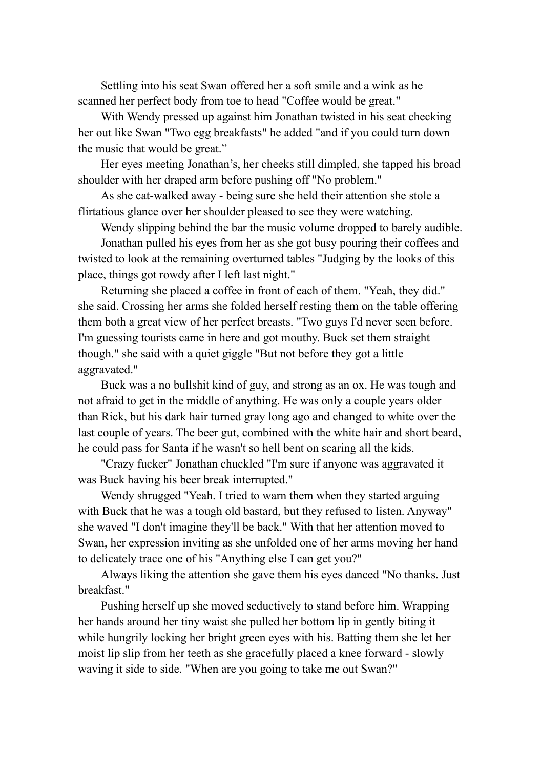Settling into his seat Swan offered her a soft smile and a wink as he scanned her perfect body from toe to head "Coffee would be great."

With Wendy pressed up against him Jonathan twisted in his seat checking her out like Swan "Two egg breakfasts" he added "and if you could turn down the music that would be great."

Her eyes meeting Jonathan's, her cheeks still dimpled, she tapped his broad shoulder with her draped arm before pushing off "No problem."

As she cat-walked away - being sure she held their attention she stole a flirtatious glance over her shoulder pleased to see they were watching.

Wendy slipping behind the bar the music volume dropped to barely audible.

Jonathan pulled his eyes from her as she got busy pouring their coffees and twisted to look at the remaining overturned tables "Judging by the looks of this place, things got rowdy after I left last night."

Returning she placed a coffee in front of each of them. "Yeah, they did." she said. Crossing her arms she folded herself resting them on the table offering them both a great view of her perfect breasts. "Two guys I'd never seen before. I'm guessing tourists came in here and got mouthy. Buck set them straight though." she said with a quiet giggle "But not before they got a little aggravated."

Buck was a no bullshit kind of guy, and strong as an ox. He was tough and not afraid to get in the middle of anything. He was only a couple years older than Rick, but his dark hair turned gray long ago and changed to white over the last couple of years. The beer gut, combined with the white hair and short beard, he could pass for Santa if he wasn't so hell bent on scaring all the kids.

"Crazy fucker" Jonathan chuckled "I'm sure if anyone was aggravated it was Buck having his beer break interrupted."

Wendy shrugged "Yeah. I tried to warn them when they started arguing with Buck that he was a tough old bastard, but they refused to listen. Anyway" she waved "I don't imagine they'll be back." With that her attention moved to Swan, her expression inviting as she unfolded one of her arms moving her hand to delicately trace one of his "Anything else I can get you?"

Always liking the attention she gave them his eyes danced "No thanks. Just breakfast."

Pushing herself up she moved seductively to stand before him. Wrapping her hands around her tiny waist she pulled her bottom lip in gently biting it while hungrily locking her bright green eyes with his. Batting them she let her moist lip slip from her teeth as she gracefully placed a knee forward - slowly waving it side to side. "When are you going to take me out Swan?"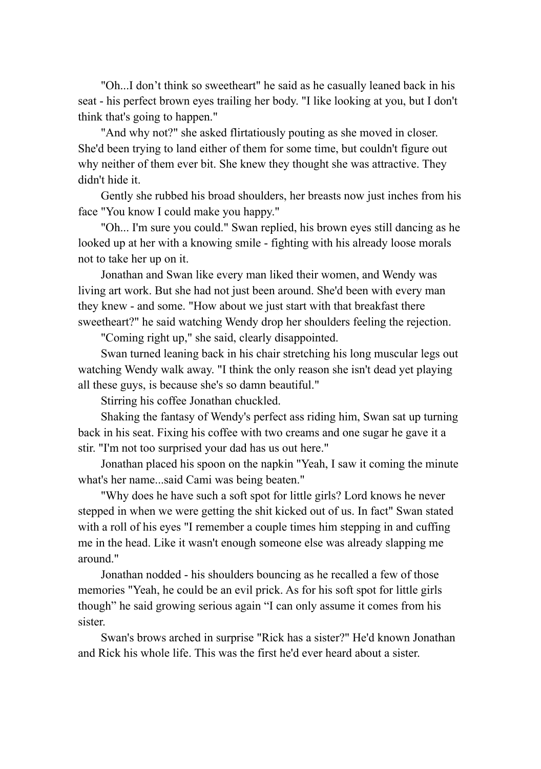"Oh...I don't think so sweetheart" he said as he casually leaned back in his seat - his perfect brown eyes trailing her body. "I like looking at you, but I don't think that's going to happen."

"And why not?" she asked flirtatiously pouting as she moved in closer. She'd been trying to land either of them for some time, but couldn't figure out why neither of them ever bit. She knew they thought she was attractive. They didn't hide it.

Gently she rubbed his broad shoulders, her breasts now just inches from his face "You know I could make you happy."

"Oh... I'm sure you could." Swan replied, his brown eyes still dancing as he looked up at her with a knowing smile - fighting with his already loose morals not to take her up on it.

Jonathan and Swan like every man liked their women, and Wendy was living art work. But she had not just been around. She'd been with every man they knew - and some. "How about we just start with that breakfast there sweetheart?" he said watching Wendy drop her shoulders feeling the rejection.

"Coming right up," she said, clearly disappointed.

Swan turned leaning back in his chair stretching his long muscular legs out watching Wendy walk away. "I think the only reason she isn't dead yet playing all these guys, is because she's so damn beautiful."

Stirring his coffee Jonathan chuckled.

Shaking the fantasy of Wendy's perfect ass riding him, Swan sat up turning back in his seat. Fixing his coffee with two creams and one sugar he gave it a stir. "I'm not too surprised your dad has us out here."

Jonathan placed his spoon on the napkin "Yeah, I saw it coming the minute what's her name...said Cami was being beaten."

"Why does he have such a soft spot for little girls? Lord knows he never stepped in when we were getting the shit kicked out of us. In fact" Swan stated with a roll of his eyes "I remember a couple times him stepping in and cuffing me in the head. Like it wasn't enough someone else was already slapping me around."

Jonathan nodded - his shoulders bouncing as he recalled a few of those memories "Yeah, he could be an evil prick. As for his soft spot for little girls though" he said growing serious again "I can only assume it comes from his sister.

Swan's brows arched in surprise "Rick has a sister?" He'd known Jonathan and Rick his whole life. This was the first he'd ever heard about a sister.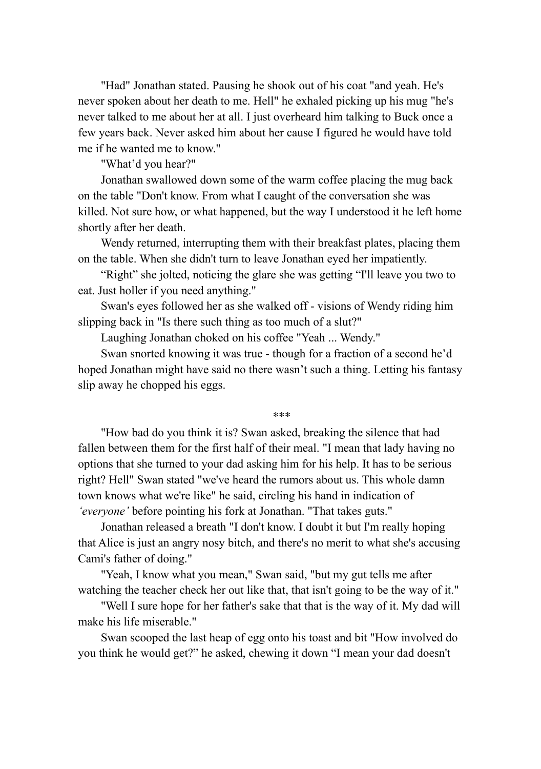"Had" Jonathan stated. Pausing he shook out of his coat "and yeah. He's never spoken about her death to me. Hell" he exhaled picking up his mug "he's never talked to me about her at all. I just overheard him talking to Buck once a few years back. Never asked him about her cause I figured he would have told me if he wanted me to know."

"What'd you hear?"

Jonathan swallowed down some of the warm coffee placing the mug back on the table "Don't know. From what I caught of the conversation she was killed. Not sure how, or what happened, but the way I understood it he left home shortly after her death.

Wendy returned, interrupting them with their breakfast plates, placing them on the table. When she didn't turn to leave Jonathan eyed her impatiently.

"Right" she jolted, noticing the glare she was getting "I'll leave you two to eat. Just holler if you need anything."

Swan's eyes followed her as she walked off - visions of Wendy riding him slipping back in "Is there such thing as too much of a slut?"

Laughing Jonathan choked on his coffee "Yeah ... Wendy."

Swan snorted knowing it was true - though for a fraction of a second he'd hoped Jonathan might have said no there wasn't such a thing. Letting his fantasy slip away he chopped his eggs.

\*\*\*

"How bad do you think it is? Swan asked, breaking the silence that had fallen between them for the first half of their meal. "I mean that lady having no options that she turned to your dad asking him for his help. It has to be serious right? Hell" Swan stated "we've heard the rumors about us. This whole damn town knows what we're like" he said, circling his hand in indication of *'everyone'* before pointing his fork at Jonathan. "That takes guts."

Jonathan released a breath "I don't know. I doubt it but I'm really hoping that Alice is just an angry nosy bitch, and there's no merit to what she's accusing Cami's father of doing."

"Yeah, I know what you mean," Swan said, "but my gut tells me after watching the teacher check her out like that, that isn't going to be the way of it."

"Well I sure hope for her father's sake that that is the way of it. My dad will make his life miserable."

Swan scooped the last heap of egg onto his toast and bit "How involved do you think he would get?" he asked, chewing it down "I mean your dad doesn't